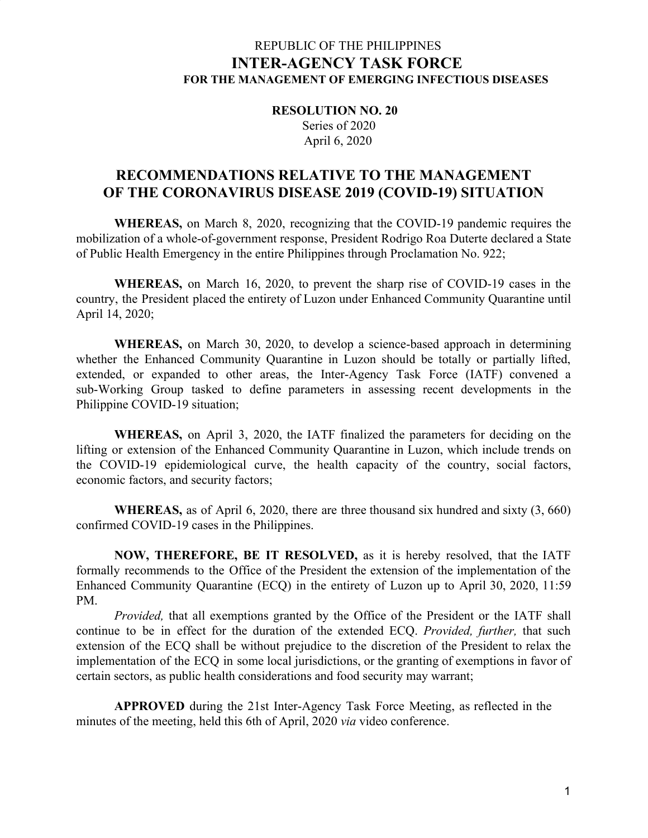# REPUBLIC OF THE PHILIPPINES **INTER-AGENCY TASK FORCE FOR THE MANAGEMENT OF EMERGING INFECTIOUS DISEASES**

**RESOLUTION NO. 20** Series of 2020 April 6, 2020

# **RECOMMENDATIONS RELATIVE TO THE MANAGEMENT OF THE CORONAVIRUS DISEASE 2019 (COVID-19) SITUATION**

**WHEREAS,** on March 8, 2020, recognizing that the COVID-19 pandemic requires the mobilization of a whole-of-government response, President Rodrigo Roa Duterte declared a State of Public Health Emergency in the entire Philippines through Proclamation No. 922;

**WHEREAS,** on March 16, 2020, to prevent the sharp rise of COVID-19 cases in the country, the President placed the entirety of Luzon under Enhanced Community Quarantine until April 14, 2020;

**WHEREAS,** on March 30, 2020, to develop a science-based approach in determining whether the Enhanced Community Quarantine in Luzon should be totally or partially lifted, extended, or expanded to other areas, the Inter-Agency Task Force (IATF) convened a sub-Working Group tasked to define parameters in assessing recent developments in the Philippine COVID-19 situation;

**WHEREAS,** on April 3, 2020, the IATF finalized the parameters for deciding on the lifting or extension of the Enhanced Community Quarantine in Luzon, which include trends on the COVID-19 epidemiological curve, the health capacity of the country, social factors, economic factors, and security factors;

**WHEREAS,** as of April 6, 2020, there are three thousand six hundred and sixty (3, 660) confirmed COVID-19 cases in the Philippines.

**NOW, THEREFORE, BE IT RESOLVED,** as it is hereby resolved, that the IATF formally recommends to the Office of the President the extension of the implementation of the Enhanced Community Quarantine (ECQ) in the entirety of Luzon up to April 30, 2020, 11:59 PM.

*Provided,* that all exemptions granted by the Office of the President or the IATF shall continue to be in effect for the duration of the extended ECQ. *Provided, further,* that such extension of the ECQ shall be without prejudice to the discretion of the President to relax the implementation of the ECQ in some local jurisdictions, or the granting of exemptions in favor of certain sectors, as public health considerations and food security may warrant;

**APPROVED** during the 21st Inter-Agency Task Force Meeting, as reflected in the minutes of the meeting, held this 6th of April, 2020 *via* video conference.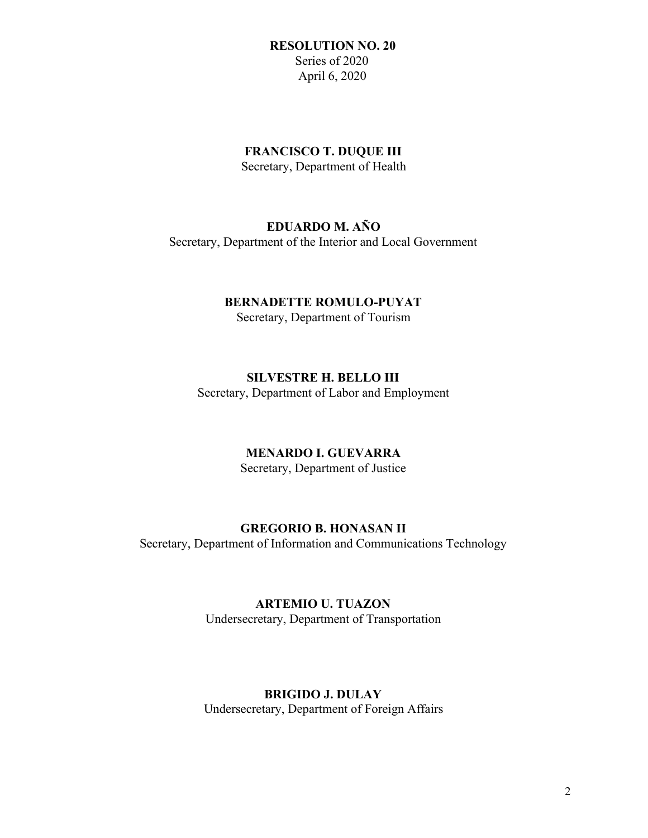### **RESOLUTION NO. 20** Series of 2020 April 6, 2020

### **FRANCISCO T. DUQUE III**

Secretary, Department of Health

# **EDUARDO M. AÑO**

Secretary, Department of the Interior and Local Government

## **BERNADETTE ROMULO-PUYAT**

Secretary, Department of Tourism

# **SILVESTRE H. BELLO III**

Secretary, Department of Labor and Employment

# **MENARDO I. GUEVARRA**

Secretary, Department of Justice

# **GREGORIO B. HONASAN II**

Secretary, Department of Information and Communications Technology

# **ARTEMIO U. TUAZON**

Undersecretary, Department of Transportation

# **BRIGIDO J. DULAY**

Undersecretary, Department of Foreign Affairs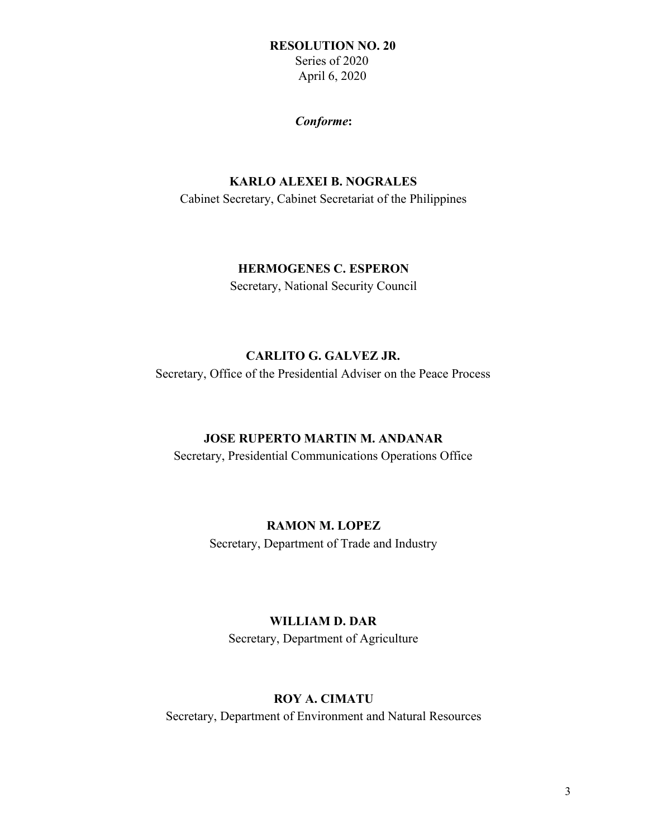#### **RESOLUTION NO. 20**

 Series of 2020 April 6, 2020

#### *Conforme***:**

## **KARLO ALEXEI B. NOGRALES**

Cabinet Secretary, Cabinet Secretariat of the Philippines

### **HERMOGENES C. ESPERON**

Secretary, National Security Council

#### **CARLITO G. GALVEZ JR.**

Secretary, Office of the Presidential Adviser on the Peace Process

### **JOSE RUPERTO MARTIN M. ANDANAR**

Secretary, Presidential Communications Operations Office

## **RAMON M. LOPEZ**

Secretary, Department of Trade and Industry

#### **WILLIAM D. DAR**

Secretary, Department of Agriculture

## **ROY A. CIMATU**

Secretary, Department of Environment and Natural Resources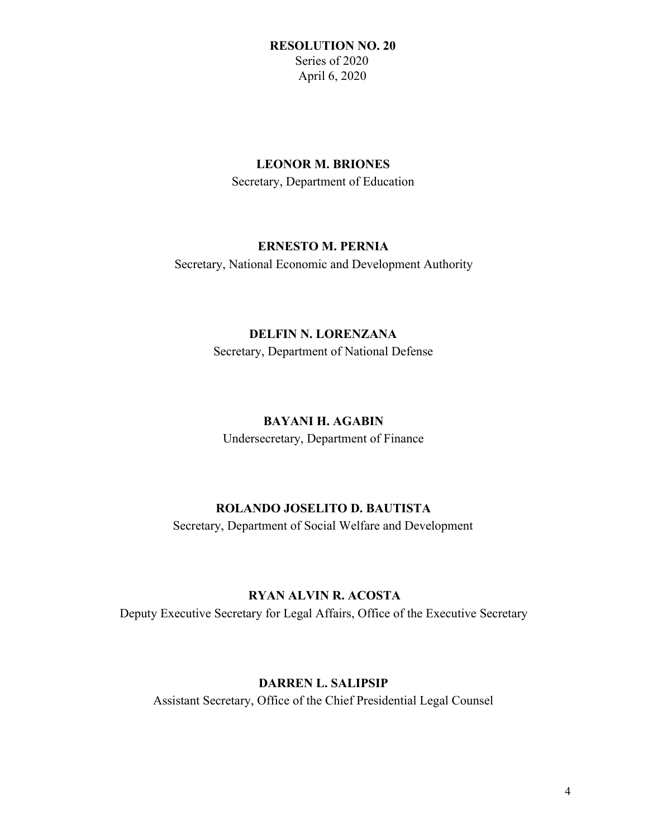### **RESOLUTION NO. 20** Series of 2020 April 6, 2020

### **LEONOR M. BRIONES**

Secretary, Department of Education

## **ERNESTO M. PERNIA**

Secretary, National Economic and Development Authority

### **DELFIN N. LORENZANA**

Secretary, Department of National Defense

## **BAYANI H. AGABIN**

Undersecretary, Department of Finance

## **ROLANDO JOSELITO D. BAUTISTA**

Secretary, Department of Social Welfare and Development

## **RYAN ALVIN R. ACOSTA**

Deputy Executive Secretary for Legal Affairs, Office of the Executive Secretary

# **DARREN L. SALIPSIP**

Assistant Secretary, Office of the Chief Presidential Legal Counsel